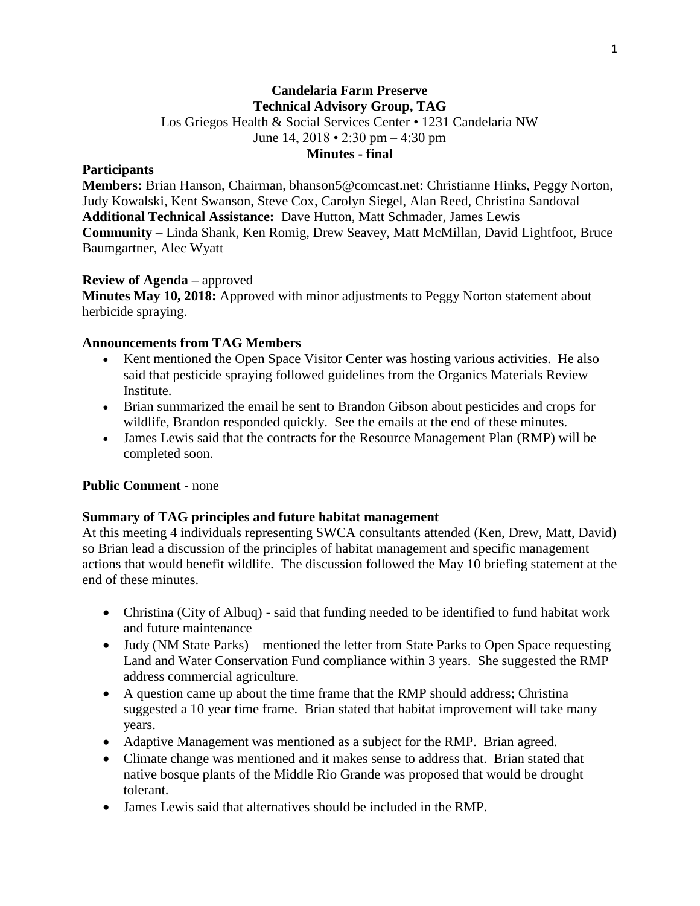## **Candelaria Farm Preserve Technical Advisory Group, TAG** Los Griegos Health & Social Services Center • 1231 Candelaria NW June 14, 2018 • 2:30 pm – 4:30 pm **Minutes - final**

## **Participants**

**Members:** Brian Hanson, Chairman, bhanson5@comcast.net: Christianne Hinks, Peggy Norton, Judy Kowalski, Kent Swanson, Steve Cox, Carolyn Siegel, Alan Reed, Christina Sandoval **Additional Technical Assistance:** Dave Hutton, Matt Schmader, James Lewis **Community** – Linda Shank, Ken Romig, Drew Seavey, Matt McMillan, David Lightfoot, Bruce Baumgartner, Alec Wyatt

## **Review of Agenda –** approved

**Minutes May 10, 2018:** Approved with minor adjustments to Peggy Norton statement about herbicide spraying.

### **Announcements from TAG Members**

- Kent mentioned the Open Space Visitor Center was hosting various activities. He also said that pesticide spraying followed guidelines from the Organics Materials Review Institute.
- Brian summarized the email he sent to Brandon Gibson about pesticides and crops for wildlife, Brandon responded quickly. See the emails at the end of these minutes.
- James Lewis said that the contracts for the Resource Management Plan (RMP) will be completed soon.

## **Public Comment -** none

### **Summary of TAG principles and future habitat management**

At this meeting 4 individuals representing SWCA consultants attended (Ken, Drew, Matt, David) so Brian lead a discussion of the principles of habitat management and specific management actions that would benefit wildlife. The discussion followed the May 10 briefing statement at the end of these minutes.

- Christina (City of Albuq) said that funding needed to be identified to fund habitat work and future maintenance
- Judy (NM State Parks) mentioned the letter from State Parks to Open Space requesting Land and Water Conservation Fund compliance within 3 years. She suggested the RMP address commercial agriculture.
- A question came up about the time frame that the RMP should address; Christina suggested a 10 year time frame. Brian stated that habitat improvement will take many years.
- Adaptive Management was mentioned as a subject for the RMP. Brian agreed.
- Climate change was mentioned and it makes sense to address that. Brian stated that native bosque plants of the Middle Rio Grande was proposed that would be drought tolerant.
- James Lewis said that alternatives should be included in the RMP.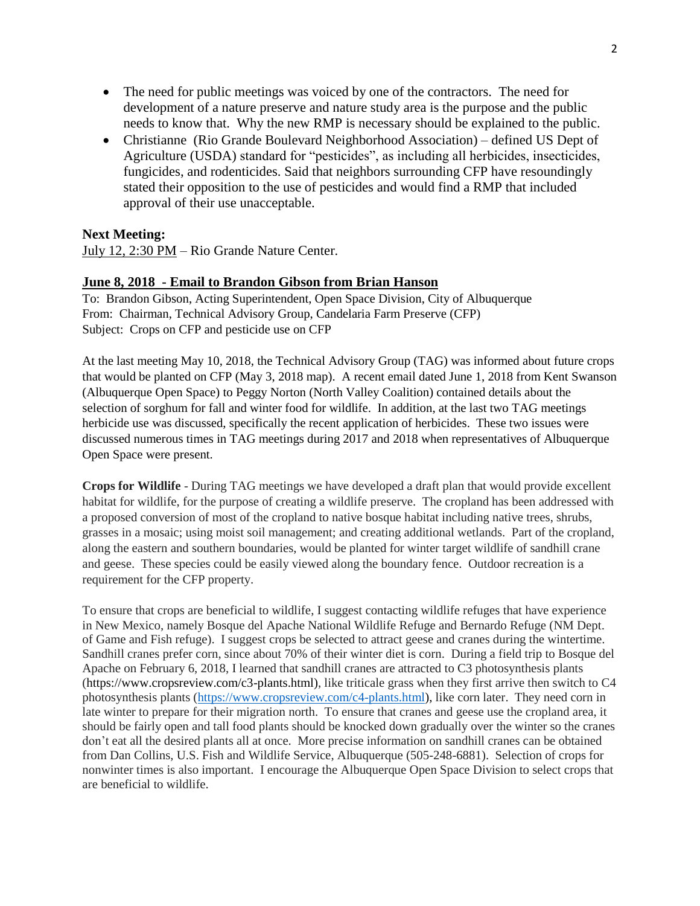- The need for public meetings was voiced by one of the contractors. The need for development of a nature preserve and nature study area is the purpose and the public needs to know that. Why the new RMP is necessary should be explained to the public.
- Christianne (Rio Grande Boulevard Neighborhood Association) defined US Dept of Agriculture (USDA) standard for "pesticides", as including all herbicides, insecticides, fungicides, and rodenticides. Said that neighbors surrounding CFP have resoundingly stated their opposition to the use of pesticides and would find a RMP that included approval of their use unacceptable.

## **Next Meeting:**

July 12, 2:30 PM – Rio Grande Nature Center.

## **June 8, 2018 - Email to Brandon Gibson from Brian Hanson**

To: Brandon Gibson, Acting Superintendent, Open Space Division, City of Albuquerque From: Chairman, Technical Advisory Group, Candelaria Farm Preserve (CFP) Subject: Crops on CFP and pesticide use on CFP

At the last meeting May 10, 2018, the Technical Advisory Group (TAG) was informed about future crops that would be planted on CFP (May 3, 2018 map). A recent email dated June 1, 2018 from Kent Swanson (Albuquerque Open Space) to Peggy Norton (North Valley Coalition) contained details about the selection of sorghum for fall and winter food for wildlife. In addition, at the last two TAG meetings herbicide use was discussed, specifically the recent application of herbicides. These two issues were discussed numerous times in TAG meetings during 2017 and 2018 when representatives of Albuquerque Open Space were present.

**Crops for Wildlife** - During TAG meetings we have developed a draft plan that would provide excellent habitat for wildlife, for the purpose of creating a wildlife preserve. The cropland has been addressed with a proposed conversion of most of the cropland to native bosque habitat including native trees, shrubs, grasses in a mosaic; using moist soil management; and creating additional wetlands. Part of the cropland, along the eastern and southern boundaries, would be planted for winter target wildlife of sandhill crane and geese. These species could be easily viewed along the boundary fence. Outdoor recreation is a requirement for the CFP property.

To ensure that crops are beneficial to wildlife, I suggest contacting wildlife refuges that have experience in New Mexico, namely Bosque del Apache National Wildlife Refuge and Bernardo Refuge (NM Dept. of Game and Fish refuge). I suggest crops be selected to attract geese and cranes during the wintertime. Sandhill cranes prefer corn, since about 70% of their winter diet is corn. During a field trip to Bosque del Apache on February 6, 2018, I learned that sandhill cranes are attracted to C3 photosynthesis plants (https://www.cropsreview.com/c3-plants.html), like triticale grass when they first arrive then switch to C4 photosynthesis plants [\(https://www.cropsreview.com/c4-plants.html\)](https://www.cropsreview.com/c4-plants.html), like corn later. They need corn in late winter to prepare for their migration north. To ensure that cranes and geese use the cropland area, it should be fairly open and tall food plants should be knocked down gradually over the winter so the cranes don't eat all the desired plants all at once. More precise information on sandhill cranes can be obtained from Dan Collins, U.S. Fish and Wildlife Service, Albuquerque (505-248-6881). Selection of crops for nonwinter times is also important. I encourage the Albuquerque Open Space Division to select crops that are beneficial to wildlife.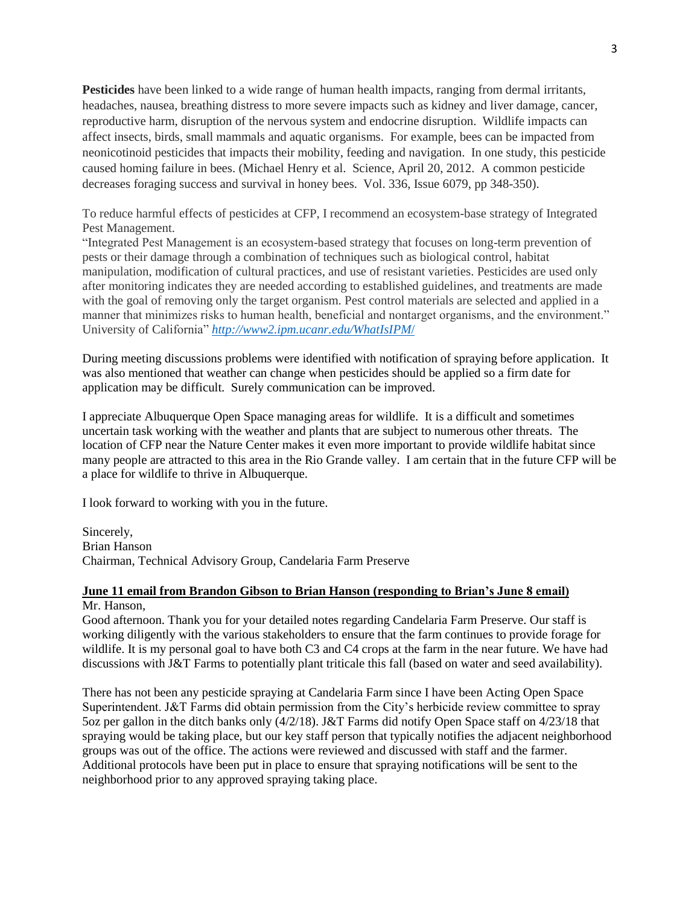**Pesticides** have been linked to a wide range of human health impacts, ranging from dermal irritants, headaches, nausea, breathing distress to more severe impacts such as kidney and liver damage, cancer, reproductive harm, disruption of the nervous system and endocrine disruption. Wildlife impacts can affect insects, birds, small mammals and aquatic organisms. For example, bees can be impacted from neonicotinoid pesticides that impacts their mobility, feeding and navigation. In one study, this pesticide caused homing failure in bees. (Michael Henry et al. Science, April 20, 2012. A common pesticide decreases foraging success and survival in honey bees. Vol. 336, Issue 6079, pp 348-350).

To reduce harmful effects of pesticides at CFP, I recommend an ecosystem-base strategy of Integrated Pest Management.

"Integrated Pest Management is an ecosystem-based strategy that focuses on long-term prevention of pests or their damage through a combination of techniques such as biological control, habitat manipulation, modification of cultural practices, and use of resistant varieties. Pesticides are used only after monitoring indicates they are needed according to established guidelines, and treatments are made with the goal of removing only the target organism. Pest control materials are selected and applied in a manner that minimizes risks to human health, beneficial and nontarget organisms, and the environment." University of California" *[http://www2.ipm.ucanr.edu/WhatIsIPM](http://www2.ipm.ucanr.edu/WhatIsIPM/)*/

During meeting discussions problems were identified with notification of spraying before application. It was also mentioned that weather can change when pesticides should be applied so a firm date for application may be difficult. Surely communication can be improved.

I appreciate Albuquerque Open Space managing areas for wildlife. It is a difficult and sometimes uncertain task working with the weather and plants that are subject to numerous other threats. The location of CFP near the Nature Center makes it even more important to provide wildlife habitat since many people are attracted to this area in the Rio Grande valley. I am certain that in the future CFP will be a place for wildlife to thrive in Albuquerque.

I look forward to working with you in the future.

Sincerely, Brian Hanson Chairman, Technical Advisory Group, Candelaria Farm Preserve

## **June 11 email from Brandon Gibson to Brian Hanson (responding to Brian's June 8 email)** Mr. Hanson,

Good afternoon. Thank you for your detailed notes regarding Candelaria Farm Preserve. Our staff is working diligently with the various stakeholders to ensure that the farm continues to provide forage for wildlife. It is my personal goal to have both C3 and C4 crops at the farm in the near future. We have had discussions with J&T Farms to potentially plant triticale this fall (based on water and seed availability).

There has not been any pesticide spraying at Candelaria Farm since I have been Acting Open Space Superintendent. J&T Farms did obtain permission from the City's herbicide review committee to spray 5oz per gallon in the ditch banks only (4/2/18). J&T Farms did notify Open Space staff on 4/23/18 that spraying would be taking place, but our key staff person that typically notifies the adjacent neighborhood groups was out of the office. The actions were reviewed and discussed with staff and the farmer. Additional protocols have been put in place to ensure that spraying notifications will be sent to the neighborhood prior to any approved spraying taking place.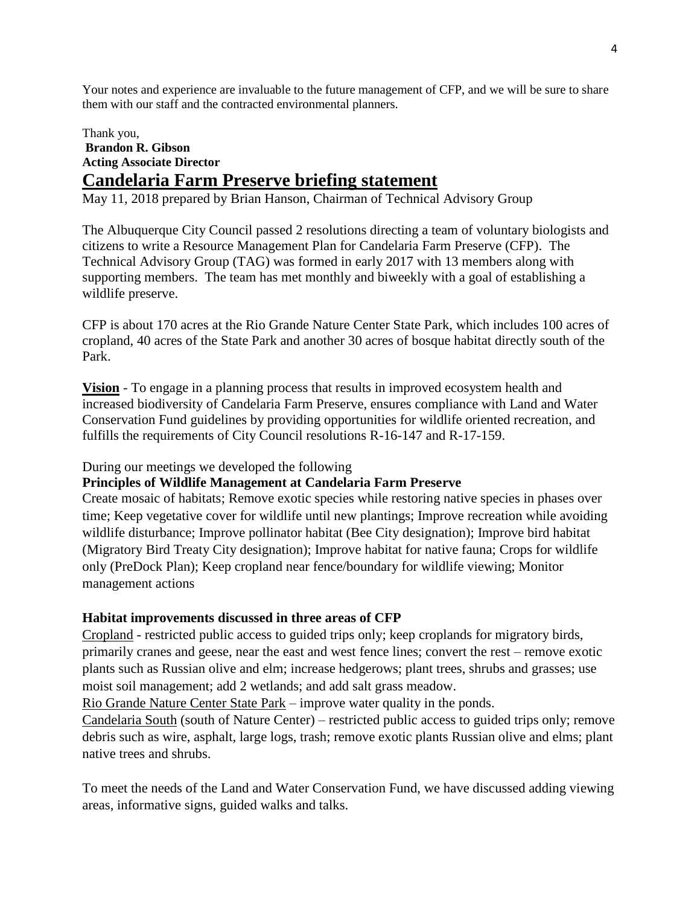Your notes and experience are invaluable to the future management of CFP, and we will be sure to share them with our staff and the contracted environmental planners.

# Thank you, **Brandon R. Gibson Acting Associate Director Candelaria Farm Preserve briefing statement**

May 11, 2018 prepared by Brian Hanson, Chairman of Technical Advisory Group

The Albuquerque City Council passed 2 resolutions directing a team of voluntary biologists and citizens to write a Resource Management Plan for Candelaria Farm Preserve (CFP). The Technical Advisory Group (TAG) was formed in early 2017 with 13 members along with supporting members. The team has met monthly and biweekly with a goal of establishing a wildlife preserve.

CFP is about 170 acres at the Rio Grande Nature Center State Park, which includes 100 acres of cropland, 40 acres of the State Park and another 30 acres of bosque habitat directly south of the Park.

**Vision** - To engage in a planning process that results in improved ecosystem health and increased biodiversity of Candelaria Farm Preserve, ensures compliance with Land and Water Conservation Fund guidelines by providing opportunities for wildlife oriented recreation, and fulfills the requirements of City Council resolutions R-16-147 and R-17-159.

During our meetings we developed the following

## **Principles of Wildlife Management at Candelaria Farm Preserve**

Create mosaic of habitats; Remove exotic species while restoring native species in phases over time; Keep vegetative cover for wildlife until new plantings; Improve recreation while avoiding wildlife disturbance; Improve pollinator habitat (Bee City designation); Improve bird habitat (Migratory Bird Treaty City designation); Improve habitat for native fauna; Crops for wildlife only (PreDock Plan); Keep cropland near fence/boundary for wildlife viewing; Monitor management actions

#### **Habitat improvements discussed in three areas of CFP**

Cropland - restricted public access to guided trips only; keep croplands for migratory birds, primarily cranes and geese, near the east and west fence lines; convert the rest – remove exotic plants such as Russian olive and elm; increase hedgerows; plant trees, shrubs and grasses; use moist soil management; add 2 wetlands; and add salt grass meadow.

Rio Grande Nature Center State Park – improve water quality in the ponds.

Candelaria South (south of Nature Center) – restricted public access to guided trips only; remove debris such as wire, asphalt, large logs, trash; remove exotic plants Russian olive and elms; plant native trees and shrubs.

To meet the needs of the Land and Water Conservation Fund, we have discussed adding viewing areas, informative signs, guided walks and talks.